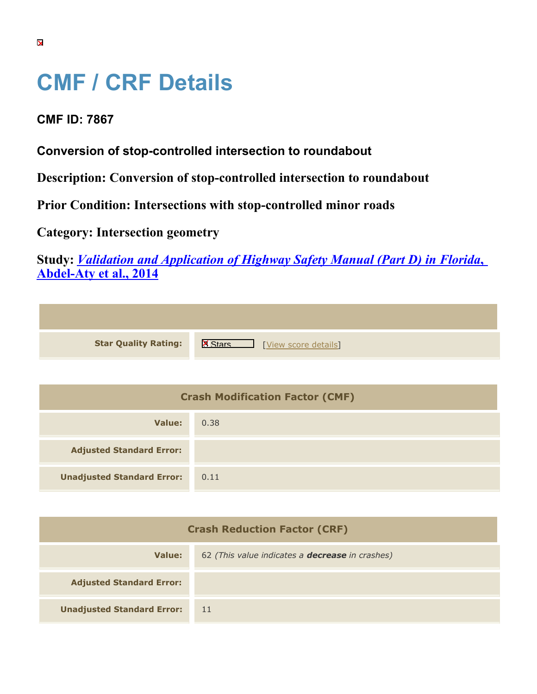## **CMF / CRF Details**

## **CMF ID: 7867**

**Conversion of stop-controlled intersection to roundabout**

**Description: Conversion of stop-controlled intersection to roundabout**

**Prior Condition: Intersections with stop-controlled minor roads**

**Category: Intersection geometry**

**Study:** *[Validation and Application of Highway Safety Manual \(Part D\) in Florida](https://cmfclearinghouse.org/study_detail.cfm?stid=433)***[,](https://cmfclearinghouse.org/study_detail.cfm?stid=433) [Abdel-Aty et al., 2014](https://cmfclearinghouse.org/study_detail.cfm?stid=433)**

| <b>Star Quality Rating:</b> | $\mathbf{K}$<br>[View score details] |
|-----------------------------|--------------------------------------|

| <b>Crash Modification Factor (CMF)</b> |      |
|----------------------------------------|------|
| Value:                                 | 0.38 |
| <b>Adjusted Standard Error:</b>        |      |
| <b>Unadjusted Standard Error:</b>      | 0.11 |

| <b>Crash Reduction Factor (CRF)</b> |                                                        |
|-------------------------------------|--------------------------------------------------------|
| Value:                              | 62 (This value indicates a <b>decrease</b> in crashes) |
| <b>Adjusted Standard Error:</b>     |                                                        |
| <b>Unadjusted Standard Error:</b>   | -11                                                    |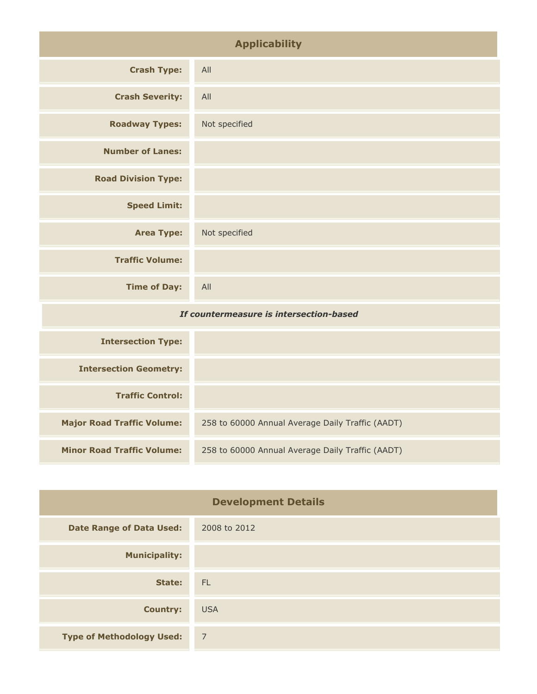| <b>Applicability</b>                    |               |
|-----------------------------------------|---------------|
| <b>Crash Type:</b>                      | All           |
| <b>Crash Severity:</b>                  | All           |
| <b>Roadway Types:</b>                   | Not specified |
| <b>Number of Lanes:</b>                 |               |
| <b>Road Division Type:</b>              |               |
| <b>Speed Limit:</b>                     |               |
| <b>Area Type:</b>                       | Not specified |
| <b>Traffic Volume:</b>                  |               |
| <b>Time of Day:</b>                     | All           |
| If countermeasure is intersection-based |               |
| <b>Intersection Type:</b>               |               |

| <b>Intersection Type:</b>         |                                                  |
|-----------------------------------|--------------------------------------------------|
| <b>Intersection Geometry:</b>     |                                                  |
| <b>Traffic Control:</b>           |                                                  |
| <b>Major Road Traffic Volume:</b> | 258 to 60000 Annual Average Daily Traffic (AADT) |
| <b>Minor Road Traffic Volume:</b> | 258 to 60000 Annual Average Daily Traffic (AADT) |

| <b>Development Details</b>       |                |
|----------------------------------|----------------|
| <b>Date Range of Data Used:</b>  | 2008 to 2012   |
| <b>Municipality:</b>             |                |
| State:                           | - FL           |
| <b>Country:</b>                  | <b>USA</b>     |
| <b>Type of Methodology Used:</b> | $\overline{7}$ |